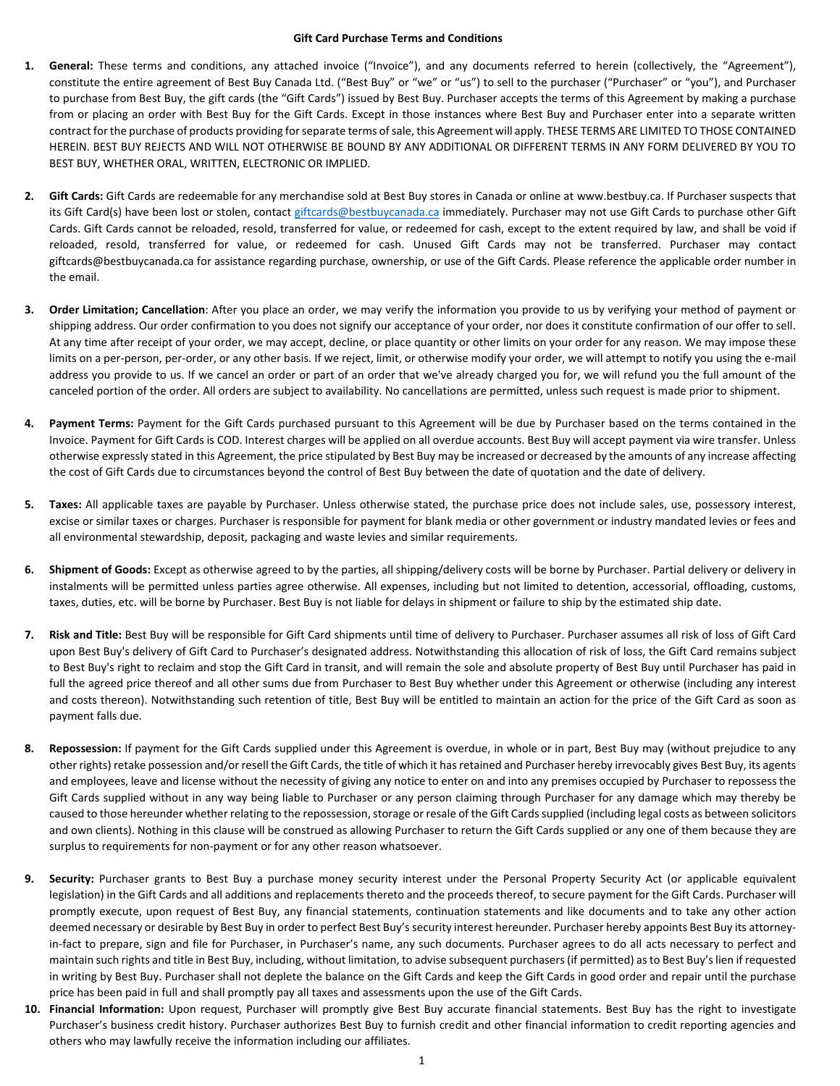## **Gift Card Purchase Terms and Conditions**

- **1. General:** These terms and conditions, any attached invoice ("Invoice"), and any documents referred to herein (collectively, the "Agreement"), constitute the entire agreement of Best Buy Canada Ltd. ("Best Buy" or "we" or "us") to sell to the purchaser ("Purchaser" or "you"), and Purchaser to purchase from Best Buy, the gift cards (the "Gift Cards") issued by Best Buy. Purchaser accepts the terms of this Agreement by making a purchase from or placing an order with Best Buy for the Gift Cards. Except in those instances where Best Buy and Purchaser enter into a separate written contract for the purchase of products providing for separate terms of sale, this Agreement will apply. THESE TERMS ARE LIMITED TO THOSE CONTAINED HEREIN. BEST BUY REJECTS AND WILL NOT OTHERWISE BE BOUND BY ANY ADDITIONAL OR DIFFERENT TERMS IN ANY FORM DELIVERED BY YOU TO BEST BUY, WHETHER ORAL, WRITTEN, ELECTRONIC OR IMPLIED.
- **2. Gift Cards:** Gift Cards are redeemable for any merchandise sold at Best Buy stores in Canada or online at www.bestbuy.ca. If Purchaser suspects that its Gift Card(s) have been lost or stolen, contact [giftcards@bestbuycanada.ca](mailto:giftcards@bestbuycanada.ca) immediately. Purchaser may not use Gift Cards to purchase other Gift Cards. Gift Cards cannot be reloaded, resold, transferred for value, or redeemed for cash, except to the extent required by law, and shall be void if reloaded, resold, transferred for value, or redeemed for cash. Unused Gift Cards may not be transferred. Purchaser may contact giftcards@bestbuycanada.ca for assistance regarding purchase, ownership, or use of the Gift Cards. Please reference the applicable order number in the email.
- **3. Order Limitation; Cancellation**: After you place an order, we may verify the information you provide to us by verifying your method of payment or shipping address. Our order confirmation to you does not signify our acceptance of your order, nor does it constitute confirmation of our offer to sell. At any time after receipt of your order, we may accept, decline, or place quantity or other limits on your order for any reason. We may impose these limits on a per-person, per-order, or any other basis. If we reject, limit, or otherwise modify your order, we will attempt to notify you using the e-mail address you provide to us. If we cancel an order or part of an order that we've already charged you for, we will refund you the full amount of the canceled portion of the order. All orders are subject to availability. No cancellations are permitted, unless such request is made prior to shipment.
- **4. Payment Terms:** Payment for the Gift Cards purchased pursuant to this Agreement will be due by Purchaser based on the terms contained in the Invoice. Payment for Gift Cards is COD. Interest charges will be applied on all overdue accounts. Best Buy will accept payment via wire transfer. Unless otherwise expressly stated in this Agreement, the price stipulated by Best Buy may be increased or decreased by the amounts of any increase affecting the cost of Gift Cards due to circumstances beyond the control of Best Buy between the date of quotation and the date of delivery.
- **5. Taxes:** All applicable taxes are payable by Purchaser. Unless otherwise stated, the purchase price does not include sales, use, possessory interest, excise or similar taxes or charges. Purchaser is responsible for payment for blank media or other government or industry mandated levies or fees and all environmental stewardship, deposit, packaging and waste levies and similar requirements.
- **6. Shipment of Goods:** Except as otherwise agreed to by the parties, all shipping/delivery costs will be borne by Purchaser. Partial delivery or delivery in instalments will be permitted unless parties agree otherwise. All expenses, including but not limited to detention, accessorial, offloading, customs, taxes, duties, etc. will be borne by Purchaser. Best Buy is not liable for delays in shipment or failure to ship by the estimated ship date.
- **7. Risk and Title:** Best Buy will be responsible for Gift Card shipments until time of delivery to Purchaser. Purchaser assumes all risk of loss of Gift Card upon Best Buy's delivery of Gift Card to Purchaser's designated address. Notwithstanding this allocation of risk of loss, the Gift Card remains subject to Best Buy's right to reclaim and stop the Gift Card in transit, and will remain the sole and absolute property of Best Buy until Purchaser has paid in full the agreed price thereof and all other sums due from Purchaser to Best Buy whether under this Agreement or otherwise (including any interest and costs thereon). Notwithstanding such retention of title, Best Buy will be entitled to maintain an action for the price of the Gift Card as soon as payment falls due.
- **8. Repossession:** If payment for the Gift Cards supplied under this Agreement is overdue, in whole or in part, Best Buy may (without prejudice to any other rights) retake possession and/or resell the Gift Cards, the title of which it has retained and Purchaser hereby irrevocably gives Best Buy, its agents and employees, leave and license without the necessity of giving any notice to enter on and into any premises occupied by Purchaser to repossess the Gift Cards supplied without in any way being liable to Purchaser or any person claiming through Purchaser for any damage which may thereby be caused to those hereunder whether relating to the repossession, storage or resale of the Gift Cardssupplied (including legal costs as between solicitors and own clients). Nothing in this clause will be construed as allowing Purchaser to return the Gift Cards supplied or any one of them because they are surplus to requirements for non-payment or for any other reason whatsoever.
- **9. Security:** Purchaser grants to Best Buy a purchase money security interest under the Personal Property Security Act (or applicable equivalent legislation) in the Gift Cards and all additions and replacements thereto and the proceeds thereof, to secure payment for the Gift Cards. Purchaser will promptly execute, upon request of Best Buy, any financial statements, continuation statements and like documents and to take any other action deemed necessary or desirable by Best Buy in order to perfect Best Buy's security interest hereunder. Purchaser hereby appoints Best Buy its attorneyin-fact to prepare, sign and file for Purchaser, in Purchaser's name, any such documents. Purchaser agrees to do all acts necessary to perfect and maintain such rights and title in Best Buy, including, without limitation, to advise subsequent purchasers (if permitted) as to Best Buy's lien if requested in writing by Best Buy. Purchaser shall not deplete the balance on the Gift Cards and keep the Gift Cards in good order and repair until the purchase price has been paid in full and shall promptly pay all taxes and assessments upon the use of the Gift Cards.
- **10. Financial Information:** Upon request, Purchaser will promptly give Best Buy accurate financial statements. Best Buy has the right to investigate Purchaser's business credit history. Purchaser authorizes Best Buy to furnish credit and other financial information to credit reporting agencies and others who may lawfully receive the information including our affiliates.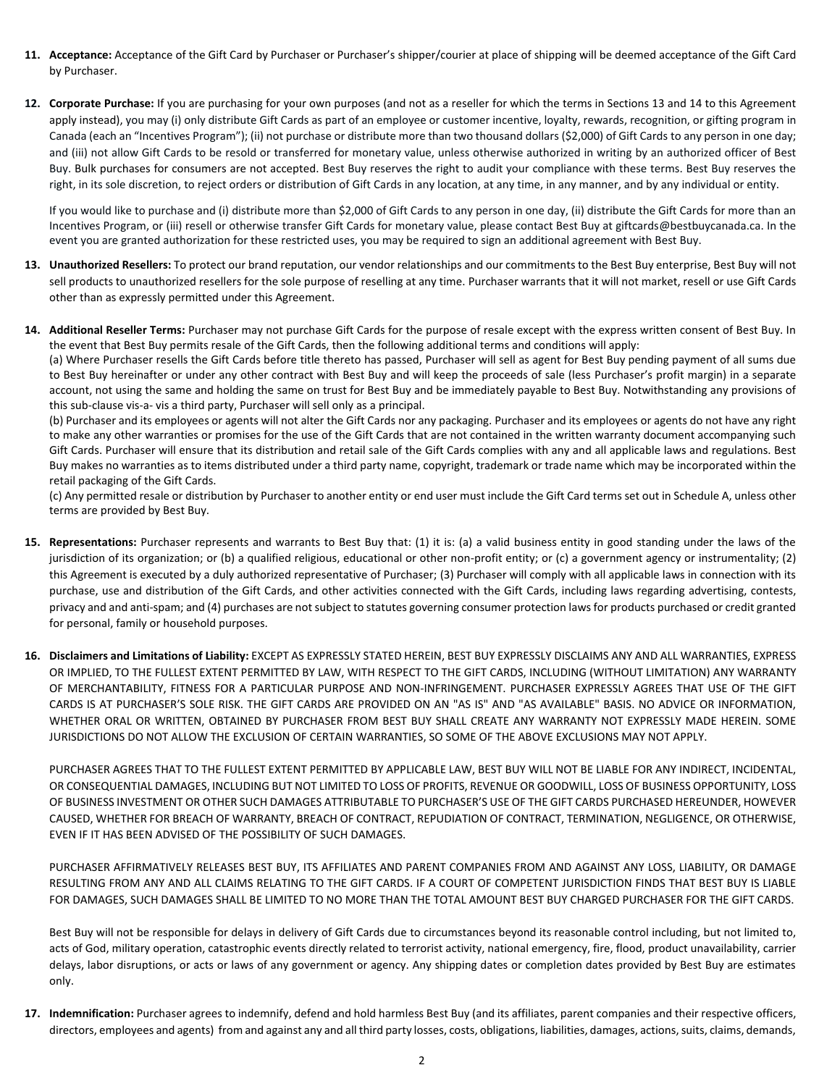- **11. Acceptance:** Acceptance of the Gift Card by Purchaser or Purchaser's shipper/courier at place of shipping will be deemed acceptance of the Gift Card by Purchaser.
- **12. Corporate Purchase:** If you are purchasing for your own purposes (and not as a reseller for which the terms in Sections 13 and 14 to this Agreement apply instead), you may (i) only distribute Gift Cards as part of an employee or customer incentive, loyalty, rewards, recognition, or gifting program in Canada (each an "Incentives Program"); (ii) not purchase or distribute more than two thousand dollars (\$2,000) of Gift Cards to any person in one day; and (iii) not allow Gift Cards to be resold or transferred for monetary value, unless otherwise authorized in writing by an authorized officer of Best Buy. Bulk purchases for consumers are not accepted. Best Buy reserves the right to audit your compliance with these terms. Best Buy reserves the right, in its sole discretion, to reject orders or distribution of Gift Cards in any location, at any time, in any manner, and by any individual or entity.

If you would like to purchase and (i) distribute more than \$2,000 of Gift Cards to any person in one day, (ii) distribute the Gift Cards for more than an Incentives Program, or (iii) resell or otherwise transfer Gift Cards for monetary value, please contact Best Buy at giftcards@bestbuycanada.ca. In the event you are granted authorization for these restricted uses, you may be required to sign an additional agreement with Best Buy.

- **13. Unauthorized Resellers:** To protect our brand reputation, our vendor relationships and our commitments to the Best Buy enterprise, Best Buy will not sell products to unauthorized resellers for the sole purpose of reselling at any time. Purchaser warrants that it will not market, resell or use Gift Cards other than as expressly permitted under this Agreement.
- **14. Additional Reseller Terms:** Purchaser may not purchase Gift Cards for the purpose of resale except with the express written consent of Best Buy. In the event that Best Buy permits resale of the Gift Cards, then the following additional terms and conditions will apply:

(a) Where Purchaser resells the Gift Cards before title thereto has passed, Purchaser will sell as agent for Best Buy pending payment of all sums due to Best Buy hereinafter or under any other contract with Best Buy and will keep the proceeds of sale (less Purchaser's profit margin) in a separate account, not using the same and holding the same on trust for Best Buy and be immediately payable to Best Buy. Notwithstanding any provisions of this sub-clause vis-a- vis a third party, Purchaser will sell only as a principal.

(b) Purchaser and its employees or agents will not alter the Gift Cards nor any packaging. Purchaser and its employees or agents do not have any right to make any other warranties or promises for the use of the Gift Cards that are not contained in the written warranty document accompanying such Gift Cards. Purchaser will ensure that its distribution and retail sale of the Gift Cards complies with any and all applicable laws and regulations. Best Buy makes no warranties as to items distributed under a third party name, copyright, trademark or trade name which may be incorporated within the retail packaging of the Gift Cards.

(c) Any permitted resale or distribution by Purchaser to another entity or end user must include the Gift Card terms set out in Schedule A, unless other terms are provided by Best Buy.

- **15. Representations:** Purchaser represents and warrants to Best Buy that: (1) it is: (a) a valid business entity in good standing under the laws of the jurisdiction of its organization; or (b) a qualified religious, educational or other non-profit entity; or (c) a government agency or instrumentality; (2) this Agreement is executed by a duly authorized representative of Purchaser; (3) Purchaser will comply with all applicable laws in connection with its purchase, use and distribution of the Gift Cards, and other activities connected with the Gift Cards, including laws regarding advertising, contests, privacy and and anti-spam; and (4) purchases are not subject to statutes governing consumer protection laws for products purchased or credit granted for personal, family or household purposes.
- **16. Disclaimers and Limitations of Liability:** EXCEPT AS EXPRESSLY STATED HEREIN, BEST BUY EXPRESSLY DISCLAIMS ANY AND ALL WARRANTIES, EXPRESS OR IMPLIED, TO THE FULLEST EXTENT PERMITTED BY LAW, WITH RESPECT TO THE GIFT CARDS, INCLUDING (WITHOUT LIMITATION) ANY WARRANTY OF MERCHANTABILITY, FITNESS FOR A PARTICULAR PURPOSE AND NON-INFRINGEMENT. PURCHASER EXPRESSLY AGREES THAT USE OF THE GIFT CARDS IS AT PURCHASER'S SOLE RISK. THE GIFT CARDS ARE PROVIDED ON AN "AS IS" AND "AS AVAILABLE" BASIS. NO ADVICE OR INFORMATION, WHETHER ORAL OR WRITTEN, OBTAINED BY PURCHASER FROM BEST BUY SHALL CREATE ANY WARRANTY NOT EXPRESSLY MADE HEREIN. SOME JURISDICTIONS DO NOT ALLOW THE EXCLUSION OF CERTAIN WARRANTIES, SO SOME OF THE ABOVE EXCLUSIONS MAY NOT APPLY.

PURCHASER AGREES THAT TO THE FULLEST EXTENT PERMITTED BY APPLICABLE LAW, BEST BUY WILL NOT BE LIABLE FOR ANY INDIRECT, INCIDENTAL, OR CONSEQUENTIAL DAMAGES, INCLUDING BUT NOT LIMITED TO LOSS OF PROFITS, REVENUE OR GOODWILL, LOSS OF BUSINESS OPPORTUNITY, LOSS OF BUSINESS INVESTMENT OR OTHER SUCH DAMAGES ATTRIBUTABLE TO PURCHASER'S USE OF THE GIFT CARDS PURCHASED HEREUNDER, HOWEVER CAUSED, WHETHER FOR BREACH OF WARRANTY, BREACH OF CONTRACT, REPUDIATION OF CONTRACT, TERMINATION, NEGLIGENCE, OR OTHERWISE, EVEN IF IT HAS BEEN ADVISED OF THE POSSIBILITY OF SUCH DAMAGES.

PURCHASER AFFIRMATIVELY RELEASES BEST BUY, ITS AFFILIATES AND PARENT COMPANIES FROM AND AGAINST ANY LOSS, LIABILITY, OR DAMAGE RESULTING FROM ANY AND ALL CLAIMS RELATING TO THE GIFT CARDS. IF A COURT OF COMPETENT JURISDICTION FINDS THAT BEST BUY IS LIABLE FOR DAMAGES, SUCH DAMAGES SHALL BE LIMITED TO NO MORE THAN THE TOTAL AMOUNT BEST BUY CHARGED PURCHASER FOR THE GIFT CARDS.

Best Buy will not be responsible for delays in delivery of Gift Cards due to circumstances beyond its reasonable control including, but not limited to, acts of God, military operation, catastrophic events directly related to terrorist activity, national emergency, fire, flood, product unavailability, carrier delays, labor disruptions, or acts or laws of any government or agency. Any shipping dates or completion dates provided by Best Buy are estimates only.

**17. Indemnification:** Purchaser agrees to indemnify, defend and hold harmless Best Buy (and its affiliates, parent companies and their respective officers, directors, employees and agents) from and against any and all third party losses, costs, obligations, liabilities, damages, actions, suits, claims, demands,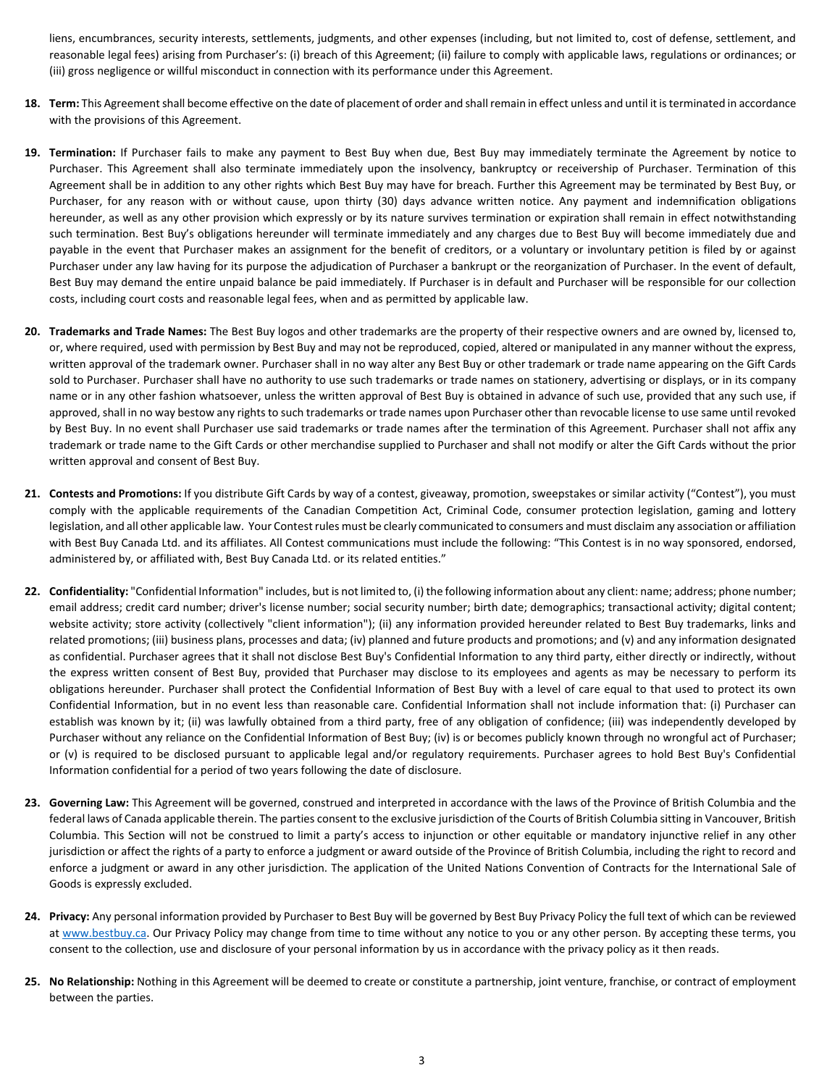liens, encumbrances, security interests, settlements, judgments, and other expenses (including, but not limited to, cost of defense, settlement, and reasonable legal fees) arising from Purchaser's: (i) breach of this Agreement; (ii) failure to comply with applicable laws, regulations or ordinances; or (iii) gross negligence or willful misconduct in connection with its performance under this Agreement.

- **18. Term:** This Agreement shall become effective on the date of placement of order and shallremain in effect unless and until it is terminated in accordance with the provisions of this Agreement.
- **19. Termination:** If Purchaser fails to make any payment to Best Buy when due, Best Buy may immediately terminate the Agreement by notice to Purchaser. This Agreement shall also terminate immediately upon the insolvency, bankruptcy or receivership of Purchaser. Termination of this Agreement shall be in addition to any other rights which Best Buy may have for breach. Further this Agreement may be terminated by Best Buy, or Purchaser, for any reason with or without cause, upon thirty (30) days advance written notice. Any payment and indemnification obligations hereunder, as well as any other provision which expressly or by its nature survives termination or expiration shall remain in effect notwithstanding such termination. Best Buy's obligations hereunder will terminate immediately and any charges due to Best Buy will become immediately due and payable in the event that Purchaser makes an assignment for the benefit of creditors, or a voluntary or involuntary petition is filed by or against Purchaser under any law having for its purpose the adjudication of Purchaser a bankrupt or the reorganization of Purchaser. In the event of default, Best Buy may demand the entire unpaid balance be paid immediately. If Purchaser is in default and Purchaser will be responsible for our collection costs, including court costs and reasonable legal fees, when and as permitted by applicable law.
- **20. Trademarks and Trade Names:** The Best Buy logos and other trademarks are the property of their respective owners and are owned by, licensed to, or, where required, used with permission by Best Buy and may not be reproduced, copied, altered or manipulated in any manner without the express, written approval of the trademark owner. Purchaser shall in no way alter any Best Buy or other trademark or trade name appearing on the Gift Cards sold to Purchaser. Purchaser shall have no authority to use such trademarks or trade names on stationery, advertising or displays, or in its company name or in any other fashion whatsoever, unless the written approval of Best Buy is obtained in advance of such use, provided that any such use, if approved, shall in no way bestow any rights to such trademarks or trade names upon Purchaser other than revocable license to use same until revoked by Best Buy. In no event shall Purchaser use said trademarks or trade names after the termination of this Agreement. Purchaser shall not affix any trademark or trade name to the Gift Cards or other merchandise supplied to Purchaser and shall not modify or alter the Gift Cards without the prior written approval and consent of Best Buy.
- **21. Contests and Promotions:** If you distribute Gift Cards by way of a contest, giveaway, promotion, sweepstakes or similar activity ("Contest"), you must comply with the applicable requirements of the Canadian Competition Act, Criminal Code, consumer protection legislation, gaming and lottery legislation, and all other applicable law. Your Contest rules must be clearly communicated to consumers and must disclaim any association or affiliation with Best Buy Canada Ltd. and its affiliates. All Contest communications must include the following: "This Contest is in no way sponsored, endorsed, administered by, or affiliated with, Best Buy Canada Ltd. or its related entities."
- **22. Confidentiality:** "Confidential Information" includes, but is not limited to, (i) the following information about any client: name; address; phone number; email address; credit card number; driver's license number; social security number; birth date; demographics; transactional activity; digital content; website activity; store activity (collectively "client information"); (ii) any information provided hereunder related to Best Buy trademarks, links and related promotions; (iii) business plans, processes and data; (iv) planned and future products and promotions; and (v) and any information designated as confidential. Purchaser agrees that it shall not disclose Best Buy's Confidential Information to any third party, either directly or indirectly, without the express written consent of Best Buy, provided that Purchaser may disclose to its employees and agents as may be necessary to perform its obligations hereunder. Purchaser shall protect the Confidential Information of Best Buy with a level of care equal to that used to protect its own Confidential Information, but in no event less than reasonable care. Confidential Information shall not include information that: (i) Purchaser can establish was known by it; (ii) was lawfully obtained from a third party, free of any obligation of confidence; (iii) was independently developed by Purchaser without any reliance on the Confidential Information of Best Buy; (iv) is or becomes publicly known through no wrongful act of Purchaser; or (v) is required to be disclosed pursuant to applicable legal and/or regulatory requirements. Purchaser agrees to hold Best Buy's Confidential Information confidential for a period of two years following the date of disclosure.
- **23. Governing Law:** This Agreement will be governed, construed and interpreted in accordance with the laws of the Province of British Columbia and the federal laws of Canada applicable therein. The parties consent to the exclusive jurisdiction of the Courts of British Columbia sitting in Vancouver, British Columbia. This Section will not be construed to limit a party's access to injunction or other equitable or mandatory injunctive relief in any other jurisdiction or affect the rights of a party to enforce a judgment or award outside of the Province of British Columbia, including the right to record and enforce a judgment or award in any other jurisdiction. The application of the United Nations Convention of Contracts for the International Sale of Goods is expressly excluded.
- **24. Privacy:** Any personal information provided by Purchaser to Best Buy will be governed by Best Buy Privacy Policy the full text of which can be reviewed a[t www.bestbuy.ca.](http://www.bestbuy.ca/) Our Privacy Policy may change from time to time without any notice to you or any other person. By accepting these terms, you consent to the collection, use and disclosure of your personal information by us in accordance with the privacy policy as it then reads.
- **25. No Relationship:** Nothing in this Agreement will be deemed to create or constitute a partnership, joint venture, franchise, or contract of employment between the parties.